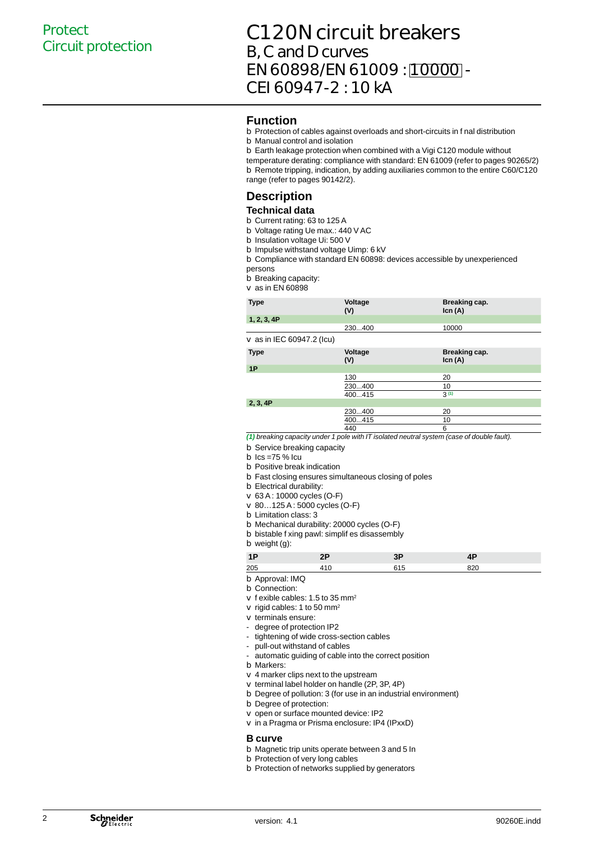## C120N circuit breakers B, C and D curves EN 60898/EN 61009 : 10000 - CEI 60947-2 : 10 kA

#### **Function**

- b Protection of cables against overloads and short-circuits in f nal distribution
- b Manual control and isolation
- Earth leakage protection when combined with a Vigi C120 module without b

temperature derating: compliance with standard: EN 61009 (refer to pages 90265/2) b Remote tripping, indication, by adding auxiliaries common to the entire C60/C120 range (refer to pages 90142/2).

### **Description**

#### **Technical data**

- b Current rating: 63 to 125 A
- b Voltage rating Ue max.: 440 V AC
- b Insulation voltage Ui: 500 V
- b Impulse withstand voltage Uimp: 6 kV
- b Compliance with standard EN 60898: devices accessible by unexperienced persons
- b Breaking capacity:
- as in EN 60898 v

| <b>Type</b>                    | Voltage<br>(V) | Breaking cap.<br>lcn(A) |
|--------------------------------|----------------|-------------------------|
| 1, 2, 3, 4P                    |                |                         |
|                                | 230400         | 10000                   |
| $\vee$ as in IEC 60947.2 (Icu) |                |                         |
| <b>Type</b>                    | Voltage<br>(V) | Breaking cap.<br>lcn(A) |
| 1P                             |                |                         |
|                                | $\sqrt{2}$     | $\sim$                  |

|          | 130    | 20               |  |
|----------|--------|------------------|--|
|          | 230400 | 10               |  |
|          | 400415 | 3 <sup>(1)</sup> |  |
| 2, 3, 4P |        |                  |  |
|          | 230400 | 20               |  |
|          | 400415 | 10.              |  |
|          |        |                  |  |

440 6 *(1) breaking capacity under 1 pole with IT isolated neutral system (case of double fault).*

b Service breaking capacity

- $b$  Ics =75 % Icu
- b Positive break indication
- Fast closing ensures simultaneous closing of poles b
- b Electrical durability:
- 63 A : 10000 cycles (O-F) v
- 80…125 A : 5000 cycles (O-F) v
- 
- b Limitation class: 3
- b Mechanical durability: 20000 cycles (O-F)
- b bistable f xing pawl: simplif es disassembly

b weight (g):

| 1F  |  |  |
|-----|--|--|
| 205 |  |  |

- b Approval: IMQ
- b Connection:
- $\vee$  f exible cables: 1.5 to 35 mm<sup>2</sup>
- $\vee$  rigid cables: 1 to 50 mm<sup>2</sup>
- $\vee$  terminals ensure:
- degree of protection IP2 -
- tightening of wide cross-section cables -
- pull-out withstand of cables -
- automatic guiding of cable into the correct position -
- Markers: b
- $\vee$  4 marker clips next to the upstream
- $\vee$  terminal label holder on handle (2P, 3P, 4P)
- b Degree of pollution: 3 (for use in an industrial environment)
- b Degree of protection:
- $\vee$  open or surface mounted device: IP2
- v in a Pragma or Prisma enclosure: IP4 (IPxxD)

#### **B curve**

- b Magnetic trip units operate between 3 and 5 In
- b Protection of very long cables
- b Protection of networks supplied by generators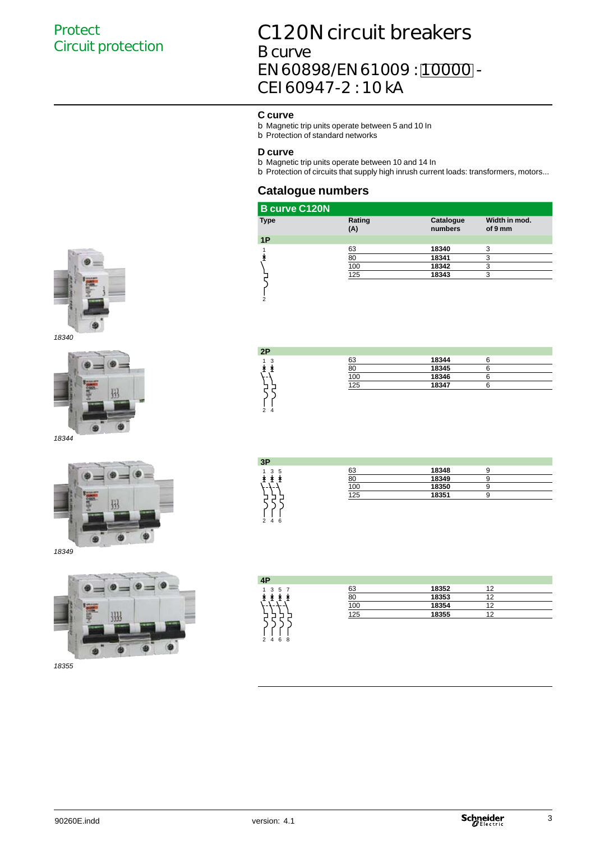## C120N circuit breakers B curve EN 60898/EN 61009 : [10000] -CEI 60947-2 : 10 kA

#### **C curve**

- b Magnetic trip units operate between 5 and 10 In
- b Protection of standard networks

#### **D curve**

**2P** 1 3

2 4

- b Magnetic trip units operate between 10 and 14 In
- b Protection of circuits that supply high inrush current loads: transformers, motors...

#### **Catalogue numbers**

| <b>B</b> curve C120N |               |                      |                          |
|----------------------|---------------|----------------------|--------------------------|
| <b>Type</b>          | Rating<br>(A) | Catalogue<br>numbers | Width in mod.<br>of 9 mm |
| 1P                   |               |                      |                          |
|                      | 63            | 18340                | 3                        |
|                      | 80            | 18341                | 3                        |
|                      | 100           | 18342                | 3                        |
|                      | 125           | 18343                | 3                        |
|                      |               |                      |                          |





*18344*



**3P**  $1 3 5$ <br> $\pm 1 1$ 63 **18348** 9 80 **18349** 9 100 **18350** 9 125 **18351** 9

63 **18344** 6

100 **18346** 6<br>125 **18347** 6

125 **18347** 6

18345 6<br>18346 6

*18355*

| .   |  |  |  |  |  |  |  |
|-----|--|--|--|--|--|--|--|
| 246 |  |  |  |  |  |  |  |
|     |  |  |  |  |  |  |  |
|     |  |  |  |  |  |  |  |
|     |  |  |  |  |  |  |  |
|     |  |  |  |  |  |  |  |
|     |  |  |  |  |  |  |  |
|     |  |  |  |  |  |  |  |
|     |  |  |  |  |  |  |  |
|     |  |  |  |  |  |  |  |
|     |  |  |  |  |  |  |  |
|     |  |  |  |  |  |  |  |
|     |  |  |  |  |  |  |  |
|     |  |  |  |  |  |  |  |

| 4P                |     |       |    |  |
|-------------------|-----|-------|----|--|
| 5 7<br>3<br>1     | 63  | 18352 | 12 |  |
|                   | 80  | 18353 | 12 |  |
| -----             | 100 | 18354 | 12 |  |
|                   | 125 | 18355 | 12 |  |
|                   |     |       |    |  |
|                   |     |       |    |  |
| 6 8<br>$2\quad 4$ |     |       |    |  |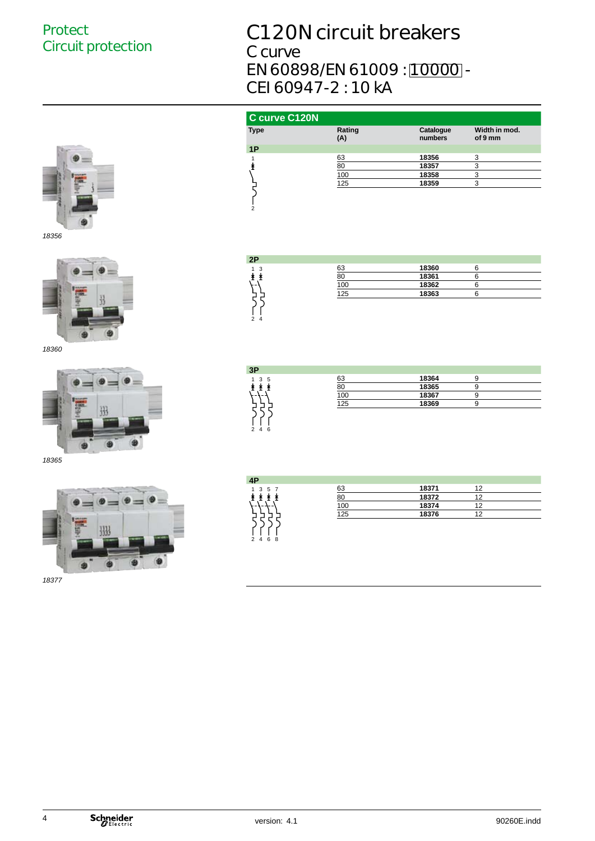# C120N circuit breakers

C curve EN 60898/EN 61009 : [10000] -CEI 60947-2 : 10 kA